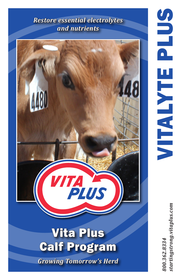## *Restore essential electrolytes and nutrients*



startingstrong.vitaplus.com *800.362.8334 startingstrong.vitaplus.com*800.362.8334